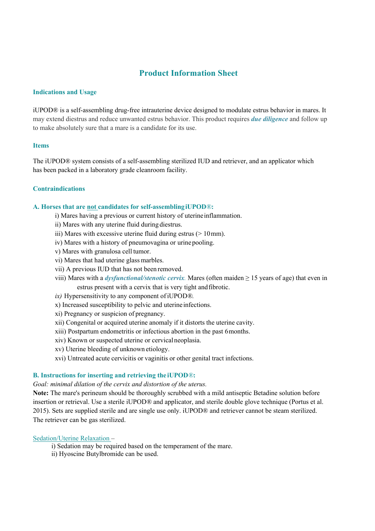# **Product Information Sheet**

#### **Indications and Usage**

iUPOD® is a self-assembling drug-free intrauterine device designed to modulate estrus behavior in mares. It may extend diestrus and reduce unwanted estrus behavior. This product requires *due diligence* and follow up to make absolutely sure that a mare is a candidate for its use.

#### **Items**

The iUPOD® system consists of a self-assembling sterilized IUD and retriever, and an applicator which has been packed in a laboratory grade cleanroom facility.

#### **Contraindications**

#### **A. Horses that are not candidates for self-assemblingiUPOD***®***:**

- i) Mares having a previous or current history of uterine inflammation.
- ii) Mares with any uterine fluid during diestrus.
- iii) Mares with excessive uterine fluid during estrus  $(> 10 \text{ mm})$ .
- iv) Mares with a history of pneumovagina or urinepooling.
- v) Mares with granulosa cell tumor.
- vi) Mares that had uterine glass marbles.
- vii) A previous IUD that has not been removed.
- viii) Mares with a *dysfunctional/stenotic cervix.* Mares (often maiden ≥ 15 years of age) that even in estrus present with a cervix that is very tight andfibrotic.
- *ix)* Hypersensitivity to any component ofiUPOD*®.*
- x) Increased susceptibility to pelvic and uterineinfections.
- xi) Pregnancy or suspicion of pregnancy.
- xii) Congenital or acquired uterine anomaly if it distorts the uterine cavity.
- xiii) Postpartum endometritis or infectious abortion in the past 6months.
- xiv) Known or suspected uterine or cervicalneoplasia.
- xv) Uterine bleeding of unknown etiology.
- xvi) Untreated acute cervicitis or vaginitis or other genital tract infections.

#### **B. Instructions for inserting and retrieving the iUPOD***®***:**

#### *Goal: minimal dilation of the cervix and distortion of the uterus.*

**Note:** The mare's perineum should be thoroughly scrubbed with a mild antiseptic Betadine solution before insertion or retrieval. Use a sterile iUPOD*®* and applicator, and sterile double glove technique (Portus et al. 2015). Sets are supplied sterile and are single use only. iUPOD® and retriever cannot be steam sterilized. The retriever can be gas sterilized.

#### Sedation/Uterine Relaxation –

- i) Sedation may be required based on the temperament of the mare.
- ii) Hyoscine Butylbromide can be used.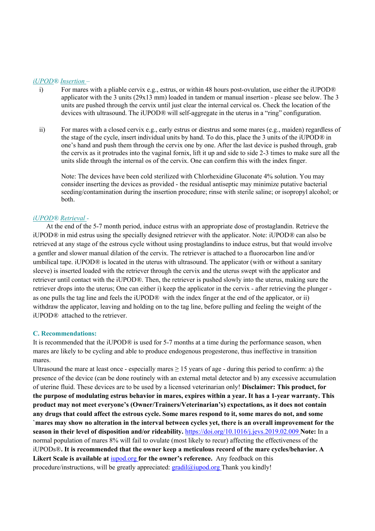#### *iUPOD® Insertion –*

- i) For mares with a pliable cervix e.g., estrus, or within 48 hours post-ovulation, use either the iUPOD*®*  applicator with the 3 units (29x13 mm) loaded in tandem or manual insertion - please see below. The 3 units are pushed through the cervix until just clear the internal cervical os. Check the location of the devices with ultrasound. The iUPOD*®* will self-aggregate in the uterus in a "ring" configuration.
- ii) For mares with a closed cervix e.g., early estrus or diestrus and some mares (e.g., maiden) regardless of the stage of the cycle, insert individual units by hand. To do this, place the 3 units of the iUPOD*®* in one's hand and push them through the cervix one by one. After the last device is pushed through, grab the cervix as it protrudes into the vaginal fornix, lift it up and side to side 2-3 times to make sure all the units slide through the internal os of the cervix. One can confirm this with the index finger.

Note: The devices have been cold sterilized with Chlorhexidine Gluconate 4% solution. You may consider inserting the devices as provided - the residual antiseptic may minimize putative bacterial seeding/contamination during the insertion procedure; rinse with sterile saline; or isopropyl alcohol; or both.

# *iUPOD® Retrieval -*

At the end of the 5-7 month period, induce estrus with an appropriate dose of prostaglandin. Retrieve the iUPOD*®* in mid estrus using the specially designed retriever with the applicator. Note: iUPOD*®* can also be retrieved at any stage of the estrous cycle without using prostaglandins to induce estrus, but that would involve a gentler and slower manual dilation of the cervix. The retriever is attached to a fluorocarbon line and/or umbilical tape. iUPOD*®* is located in the uterus with ultrasound. The applicator (with or without a sanitary sleeve) is inserted loaded with the retriever through the cervix and the uterus swept with the applicator and retriever until contact with the iUPOD*®*. Then, the retriever is pushed slowly into the uterus, making sure the retriever drops into the uterus; One can either i) keep the applicator in the cervix - after retrieving the plunger as one pulls the tag line and feels the iUPOD*®* with the index finger at the end of the applicator, or ii) withdraw the applicator, leaving and holding on to the tag line, before pulling and feeling the weight of the iUPOD*®* attached to the retriever.

### **C. Recommendations:**

It is recommended that the iUPOD*®* is used for 5-7 months at a time during the performance season, when mares are likely to be cycling and able to produce endogenous progesterone, thus ineffective in transition mares.

Ultrasound the mare at least once - especially mares  $\geq 15$  years of age - during this period to confirm: a) the presence of the device (can be done routinely with an external metal detector and b) any excessive accumulation of uterine fluid. These devices are to be used by a licensed veterinarian only! **Disclaimer: This product, for the purpose of modulating estrus behavior in mares, expires within a year. It has a 1-year warranty. This product may not meet everyone's (Owner/Trainers/Veterinarian's) expectations, as it does not contain any drugs that could affect the estrous cycle. Some mares respond to it, some mares do not, and some `mares may show no alteration in the interval between cycles yet, there is an overall improvement for the season in their level of disposition and/or rideability.** https://doi.org/10.1016/j.jevs.2019.02.009 **Note:** In a normal population of mares 8% will fail to ovulate (most likely to recur) affecting the effectiveness of the iUPODs®**. It is recommended that the owner keep a meticulous record of the mare cycles/behavior. A Likert Scale is available at** iupod.org **for the owner's reference.** Any feedback on this procedure/instructions, will be greatly appreciated:  $gradil@i$ upod.org Thank you kindly!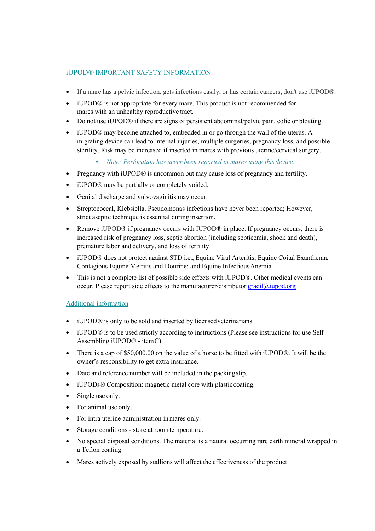# iUPOD*®* IMPORTANT SAFETY INFORMATION

- If a mare has a pelvic infection, gets infections easily, or has certain cancers, don't use iUPOD®.
- iUPOD® is not appropriate for every mare. This product is not recommended for mares with an unhealthy reproductive tract.
- Do not use iUPOD® if there are signs of persistent abdominal/pelvic pain, colic or bloating.
- iUPOD<sup>®</sup> may become attached to, embedded in or go through the wall of the uterus. A migrating device can lead to internal injuries, multiple surgeries, pregnancy loss, and possible sterility. Risk may be increased if inserted in mares with previous uterine/cervical surgery.
	- § *Note: Perforation has never been reported in mares using this device.*
- Pregnancy with iUPOD<sup>®</sup> is uncommon but may cause loss of pregnancy and fertility.
- iUPOD<sup>®</sup> may be partially or completely voided.
- Genital discharge and vulvovaginitis may occur.
- Streptococcal, Klebsiella, Pseudomonas infections have never been reported; However, strict aseptic technique is essential during insertion.
- Remove iUPOD® if pregnancy occurs with IUPOD® in place. If pregnancy occurs, there is increased risk of pregnancy loss, septic abortion (including septicemia, shock and death), premature labor and delivery, and loss of fertility
- iUPOD® does not protect against STD i.e., Equine Viral Arteritis, Equine Coital Exanthema, Contagious Equine Metritis and Dourine; and Equine InfectiousAnemia.
- This is not a complete list of possible side effects with iUPOD®. Other medical events can occur. Please report side effects to the manufacturer/distributor gradil@iupod.org

#### Additional information

- iUPOD*®* is only to be sold and inserted by licensedveterinarians.
- iUPOD*®* is to be used strictly according to instructions (Please see instructions for use Self-Assembling iUPOD® - itemC).
- There is a cap of \$50,000.00 on the value of a horse to be fitted with iUPOD*®*. It will be the owner's responsibility to get extra insurance.
- Date and reference number will be included in the packingslip.
- iUPODs® Composition: magnetic metal core with plasticcoating.
- Single use only.
- For animal use only.
- For intra uterine administration inmares only.
- Storage conditions store at room temperature.
- No special disposal conditions. The material is a natural occurring rare earth mineral wrapped in a Teflon coating.
- Mares actively exposed by stallions will affect the effectiveness of the product.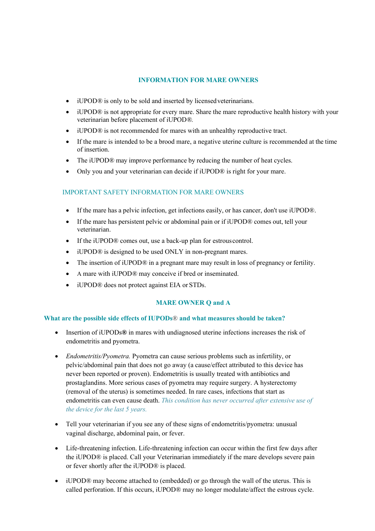# **INFORMATION FOR MARE OWNERS**

- iUPOD*®* is only to be sold and inserted by licensedveterinarians.
- iUPOD® is not appropriate for every mare. Share the mare reproductive health history with your veterinarian before placement of iUPOD*®.*
- iUPOD*®* is not recommended for mares with an unhealthy reproductive tract.
- If the mare is intended to be a brood mare, a negative uterine culture is recommended at the time of insertion.
- The iUPOD® may improve performance by reducing the number of heat cycles.
- Only you and your veterinarian can decide if iUPOD® is right for your mare.

# IMPORTANT SAFETY INFORMATION FOR MARE OWNERS

- If the mare has a pelvic infection, get infections easily, or has cancer, don't use iUPOD®.
- If the mare has persistent pelvic or abdominal pain or if iUPOD® comes out, tell your veterinarian.
- If the iUPOD® comes out, use a back-up plan for estrous control.
- iUPOD*®* is designed to be used ONLY in non-pregnant mares.
- The insertion of iUPOD<sup>®</sup> in a pregnant mare may result in loss of pregnancy or fertility.
- A mare with iUPOD*®* may conceive if bred or inseminated.
- iUPOD® does not protect against EIA or STDs.

# **MARE OWNER Q and A**

### **What are the possible side effects of IUPODs**® **and what measures should be taken?**

- Insertion of iUPODs**®** in mares with undiagnosed uterine infections increases the risk of endometritis and pyometra.
- *Endometritis/Pyometra.* Pyometra can cause serious problems such as infertility, or pelvic/abdominal pain that does not go away (a cause/effect attributed to this device has never been reported or proven). Endometritis is usually treated with antibiotics and prostaglandins. More serious cases of pyometra may require surgery. A hysterectomy (removal of the uterus) is sometimes needed. In rare cases, infections that start as endometritis can even cause death. *This condition has never occurred after extensive use of the device for the last 5 years.*
- Tell your veterinarian if you see any of these signs of endometritis/pyometra: unusual vaginal discharge, abdominal pain, or fever.
- Life-threatening infection. Life-threatening infection can occur within the first few days after the iUPOD® is placed. Call your Veterinarian immediately if the mare develops severe pain or fever shortly after the iUPOD® is placed.
- iUPOD® may become attached to (embedded) or go through the wall of the uterus. This is called perforation. If this occurs, iUPOD® may no longer modulate/affect the estrous cycle.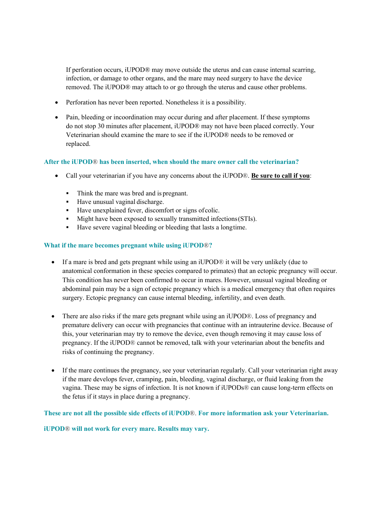If perforation occurs, iUPOD® may move outside the uterus and can cause internal scarring, infection, or damage to other organs, and the mare may need surgery to have the device removed. The iUPOD® may attach to or go through the uterus and cause other problems.

- Perforation has never been reported. Nonetheless it is a possibility.
- Pain, bleeding or incoordination may occur during and after placement. If these symptoms do not stop 30 minutes after placement, iUPOD® may not have been placed correctly. Your Veterinarian should examine the mare to see if the iUPOD® needs to be removed or replaced.

# **After the iUPOD**® **has been inserted, when should the mare owner call the veterinarian?**

- Call your veterinarian if you have any concerns about the iUPOD®. **Be sure to call if you**:
	- Think the mare was bred and is pregnant.
	- Have unusual vaginal discharge.
	- Have unexplained fever, discomfort or signs of colic.
	- Might have been exposed to sexually transmitted infections (STIs).
	- § Have severe vaginal bleeding or bleeding that lasts a longtime.

### **What if the mare becomes pregnant while using iUPOD**®**?**

- If a mare is bred and gets pregnant while using an iUPOD<sup>®</sup> it will be very unlikely (due to anatomical conformation in these species compared to primates) that an ectopic pregnancy will occur. This condition has never been confirmed to occur in mares. However, unusual vaginal bleeding or abdominal pain may be a sign of ectopic pregnancy which is a medical emergency that often requires surgery. Ectopic pregnancy can cause internal bleeding, infertility, and even death.
- There are also risks if the mare gets pregnant while using an iUPOD®. Loss of pregnancy and premature delivery can occur with pregnancies that continue with an intrauterine device. Because of this, your veterinarian may try to remove the device, even though removing it may cause loss of pregnancy. If the iUPOD® cannot be removed, talk with your veterinarian about the benefits and risks of continuing the pregnancy.
- If the mare continues the pregnancy, see your veterinarian regularly. Call your veterinarian right away if the mare develops fever, cramping, pain, bleeding, vaginal discharge, or fluid leaking from the vagina. These may be signs of infection. It is not known if iUPODs® can cause long-term effects on the fetus if it stays in place during a pregnancy.

### **These are not all the possible side effects of iUPOD**®. **For more information ask your Veterinarian.**

**iUPOD**® **will not work for every mare. Results may vary.**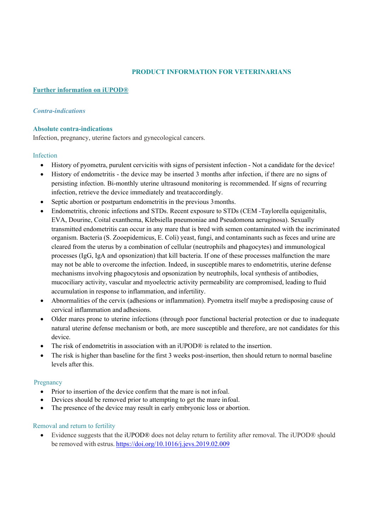# **PRODUCT INFORMATION FOR VETERINARIANS**

# **Further information on iUPOD®**

# *Contra-indications*

### **Absolute contra-indications**

Infection, pregnancy, uterine factors and gynecological cancers.

### Infection

- History of pyometra, purulent cervicitis with signs of persistent infection Not a candidate for the device!
- History of endometritis the device may be inserted 3 months after infection, if there are no signs of persisting infection. Bi-monthly uterine ultrasound monitoring is recommended. If signs of recurring infection, retrieve the device immediately and treataccordingly.
- Septic abortion or postpartum endometritis in the previous 3 months.
- Endometritis, chronic infections and STDs. Recent exposure to STDs (CEM -Taylorella equigenitalis, EVA, Dourine, Coital exanthema, Klebsiella pneumoniae and Pseudomona aeruginosa). Sexually transmitted endometritis can occur in any mare that is bred with semen contaminated with the incriminated organism. Bacteria (S. Zooepidemicus, E. Coli) yeast, fungi, and contaminants such as feces and urine are cleared from the uterus by a combination of cellular (neutrophils and phagocytes) and immunological processes (IgG, IgA and opsonization) that kill bacteria. If one of these processes malfunction the mare may not be able to overcome the infection. Indeed, in susceptible mares to endometritis, uterine defense mechanisms involving phagocytosis and opsonization by neutrophils, local synthesis of antibodies, mucociliary activity, vascular and myoelectric activity permeability are compromised, leading to fluid accumulation in response to inflammation, and infertility.
- Abnormalities of the cervix (adhesions or inflammation). Pyometra itself maybe a predisposing cause of cervical inflammation and adhesions.
- Older mares prone to uterine infections (through poor functional bacterial protection or due to inadequate natural uterine defense mechanism or both, are more susceptible and therefore, are not candidates for this device.
- The risk of endometritis in association with an iUPOD® is related to the insertion.
- The risk is higher than baseline for the first 3 weeks post-insertion, then should return to normal baseline levels after this.

### Pregnancy

- Prior to insertion of the device confirm that the mare is not infoal.
- Devices should be removed prior to attempting to get the mare infoal.
- The presence of the device may result in early embryonic loss or abortion.

### Removal and return to fertility

• Evidence suggests that the iUPOD® does not delay return to fertility after removal. The iUPOD® should be removed with estrus. https://doi.org/10.1016/j.jevs.2019.02.009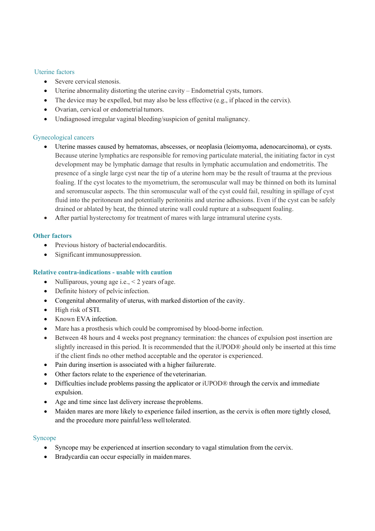# Uterine factors

- Severe cervical stenosis.
- Uterine abnormality distorting the uterine cavity Endometrial cysts, tumors.
- The device may be expelled, but may also be less effective (e.g., if placed in the cervix).
- Ovarian, cervical or endometrial tumors.
- Undiagnosed irregular vaginal bleeding/suspicion of genital malignancy.

# Gynecological cancers

- Uterine masses caused by hematomas, abscesses, or neoplasia (leiomyoma, adenocarcinoma), or cysts. Because uterine lymphatics are responsible for removing particulate material, the initiating factor in cyst development may be lymphatic damage that results in lymphatic accumulation and endometritis. The presence of a single large cyst near the tip of a uterine horn may be the result of trauma at the previous foaling. If the cyst locates to the myometrium, the seromuscular wall may be thinned on both its luminal and seromuscular aspects. The thin seromuscular wall of the cyst could fail, resulting in spillage of cyst fluid into the peritoneum and potentially peritonitis and uterine adhesions. Even if the cyst can be safely drained or ablated by heat, the thinned uterine wall could rupture at a subsequent foaling.
- After partial hysterectomy for treatment of mares with large intramural uterine cysts.

# **Other factors**

- Previous history of bacterial endocarditis.
- Significant immunosuppression.

# **Relative contra-indications - usable with caution**

- Nulliparous, young age i.e.,  $<$  2 years of age.
- Definite history of pelvic infection.
- Congenital abnormality of uterus, with marked distortion of the cavity.
- High risk of STI.
- Known EVA infection.
- Mare has a prosthesis which could be compromised by blood-borne infection.
- Between 48 hours and 4 weeks post pregnancy termination: the chances of expulsion post insertion are slightly increased in this period. It is recommended that the iUPOD® should only be inserted at this time if the client finds no other method acceptable and the operator is experienced.
- Pain during insertion is associated with a higher failurerate.
- Other factors relate to the experience of theveterinarian.
- Difficulties include problems passing the applicator or iUPOD® through the cervix and immediate expulsion.
- Age and time since last delivery increase theproblems.
- Maiden mares are more likely to experience failed insertion, as the cervix is often more tightly closed, and the procedure more painful/less welltolerated.

# Syncope

- Syncope may be experienced at insertion secondary to vagal stimulation from the cervix.
- Bradycardia can occur especially in maidenmares.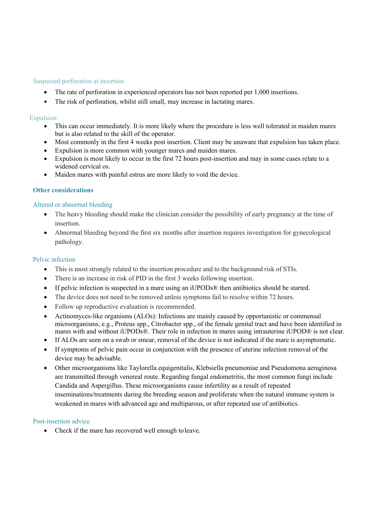### Suspected perforation at insertion

- The rate of perforation in experienced operators has not been reported per 1,000 insertions.
- The risk of perforation, whilst still small, may increase in lactating mares.

### Expulsion

- This can occur immediately. It is more likely where the procedure is less well tolerated in maiden mares but is also related to the skill of the operator.
- Most commonly in the first 4 weeks post insertion. Client may be unaware that expulsion has taken place.
- Expulsion is more common with younger mares and maiden mares.
- Expulsion is most likely to occur in the first 72 hours post-insertion and may in some cases relate to a widened cervical os.
- Maiden mares with painful estrus are more likely to void the device.

### **Other considerations**

### Altered or abnormal bleeding

- The heavy bleeding should make the clinician consider the possibility of early pregnancy at the time of insertion.
- Abnormal bleeding beyond the first six months after insertion requires investigation for gynecological pathology.

#### Pelvic infection

- This is most strongly related to the insertion procedure and to the background risk of STIs.
- There is an increase in risk of PID in the first 3 weeks following insertion.
- If pelvic infection is suspected in a mare using an iUPODs® then antibiotics should be started.
- The device does not need to be removed unless symptoms fail to resolve within 72 hours.
- Follow up reproductive evaluation is recommended.
- Actinomyces-like organisms (ALOs): Infections are mainly caused by opportunistic or commensal microorganisms, e.g., Proteus spp., Citrobacter spp., of the female genital tract and have been identified in mares with and without iUPODs®. Their role in infection in mares using intrauterine iUPOD® is not clear.
- If ALOs are seen on a swab or smear, removal of the device is not indicated if the mare is asymptomatic.
- If symptoms of pelvic pain occur in conjunction with the presence of uterine infection removal of the device may be advisable.
- Other microorganisms like Taylorella equigenitalis, Klebsiella pneumoniae and Pseudomona aeruginosa are transmitted through venereal route. Regarding fungal endometritis, the most common fungi include Candida and Aspergillus. These microorganisms cause infertility as a result of repeated inseminations/treatments during the breeding season and proliferate when the natural immune system is weakened in mares with advanced age and multiparous, or after repeated use of antibiotics.

#### Post-insertion advice

• Check if the mare has recovered well enough toleave.